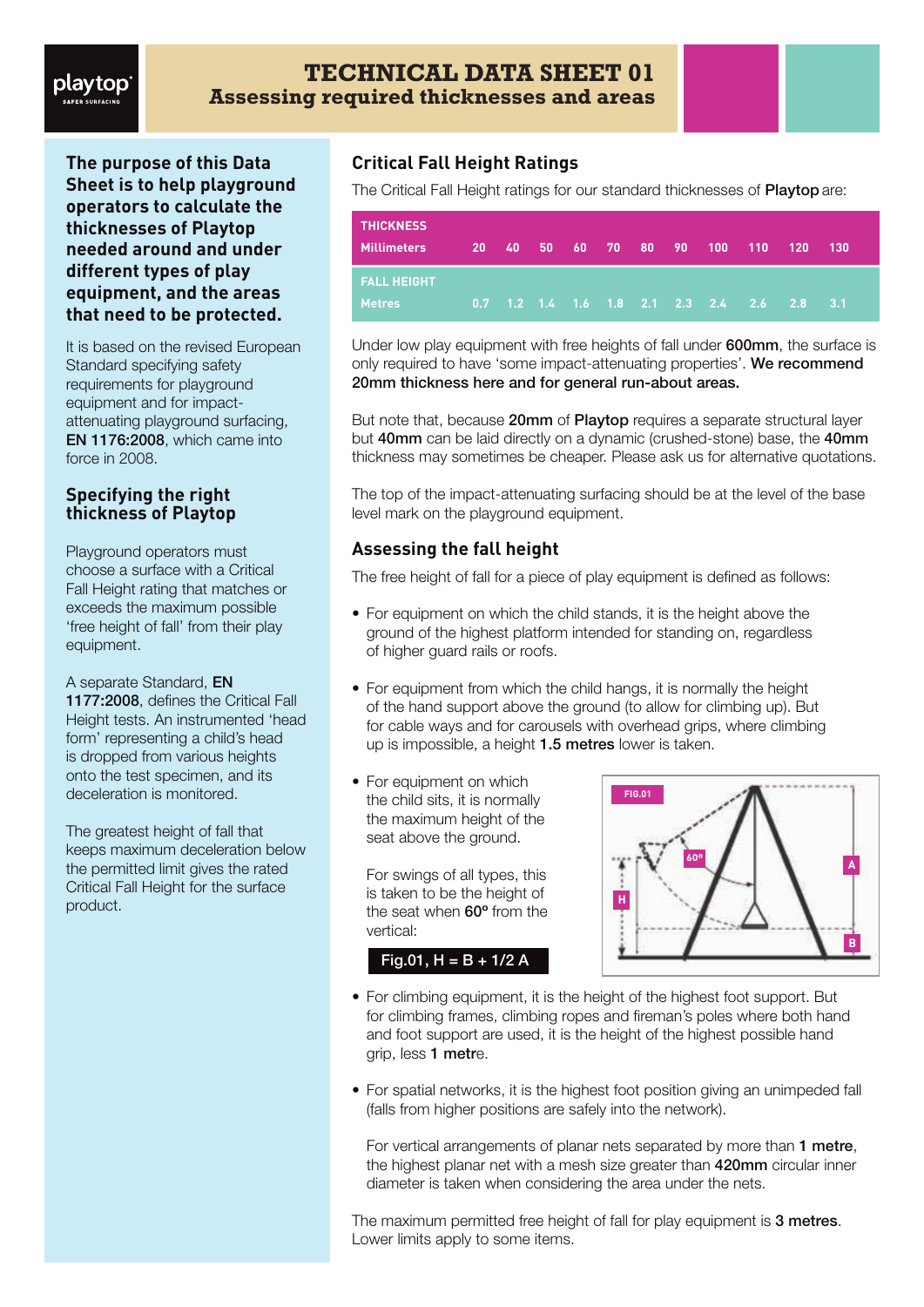# playtop

**The purpose of this Data Sheet is to help playground operators to calculate the thicknesses of Playtop needed around and under different types of play equipment, and the areas that need to be protected.**

It is based on the revised European Standard specifying safety requirements for playground equipment and for impactattenuating playground surfacing, EN 1176:2008, which came into force in 2008.

#### **Specifying the right thickness of Playtop**

Playground operators must choose a surface with a Critical Fall Height rating that matches or exceeds the maximum possible 'free height of fall' from their play equipment.

#### A separate Standard, EN

1177:2008, defines the Critical Fall Height tests. An instrumented 'head form' representing a child's head is dropped from various heights onto the test specimen, and its deceleration is monitored.

The greatest height of fall that keeps maximum deceleration below the permitted limit gives the rated Critical Fall Height for the surface product.

## **Critical Fall Height Ratings**

The Critical Fall Height ratings for our standard thicknesses of Playtop are:

| <b>THICKNESS</b><br><b>Millimeters</b> |  |  |  |  | 20 40 50 60 70 80 90 100 110 120 |                                                               | - 130 |
|----------------------------------------|--|--|--|--|----------------------------------|---------------------------------------------------------------|-------|
| <b>FALL HEIGHT</b><br><b>Metres</b>    |  |  |  |  |                                  | 0.7  1.2  1.4  1.6  1.8  2.1  2.3  2.4  2 <u>.6  2.8  3.1</u> |       |

Under low play equipment with free heights of fall under 600mm, the surface is only required to have 'some impact-attenuating properties'. We recommend 20mm thickness here and for general run-about areas.

But note that, because 20mm of Playtop requires a separate structural layer but 40mm can be laid directly on a dynamic (crushed-stone) base, the 40mm thickness may sometimes be cheaper. Please ask us for alternative quotations.

The top of the impact-attenuating surfacing should be at the level of the base level mark on the playground equipment.

## **Assessing the fall height**

The free height of fall for a piece of play equipment is defined as follows:

- For equipment on which the child stands, it is the height above the ground of the highest platform intended for standing on, regardless of higher guard rails or roofs.
- For equipment from which the child hangs, it is normally the height of the hand support above the ground (to allow for climbing up). But for cable ways and for carousels with overhead grips, where climbing up is impossible, a height 1.5 metres lower is taken.
- For equipment on which the child sits, it is normally the maximum height of the seat above the ground.

For swings of all types, this is taken to be the height of the seat when 60º from the vertical:

Fig.01,  $H = B + 1/2 A$ 



- For climbing equipment, it is the height of the highest foot support. But for climbing frames, climbing ropes and fireman's poles where both hand and foot support are used, it is the height of the highest possible hand grip, less 1 metre.
- For spatial networks, it is the highest foot position giving an unimpeded fall (falls from higher positions are safely into the network).

For vertical arrangements of planar nets separated by more than 1 metre, the highest planar net with a mesh size greater than 420mm circular inner diameter is taken when considering the area under the nets.

The maximum permitted free height of fall for play equipment is 3 metres. Lower limits apply to some items.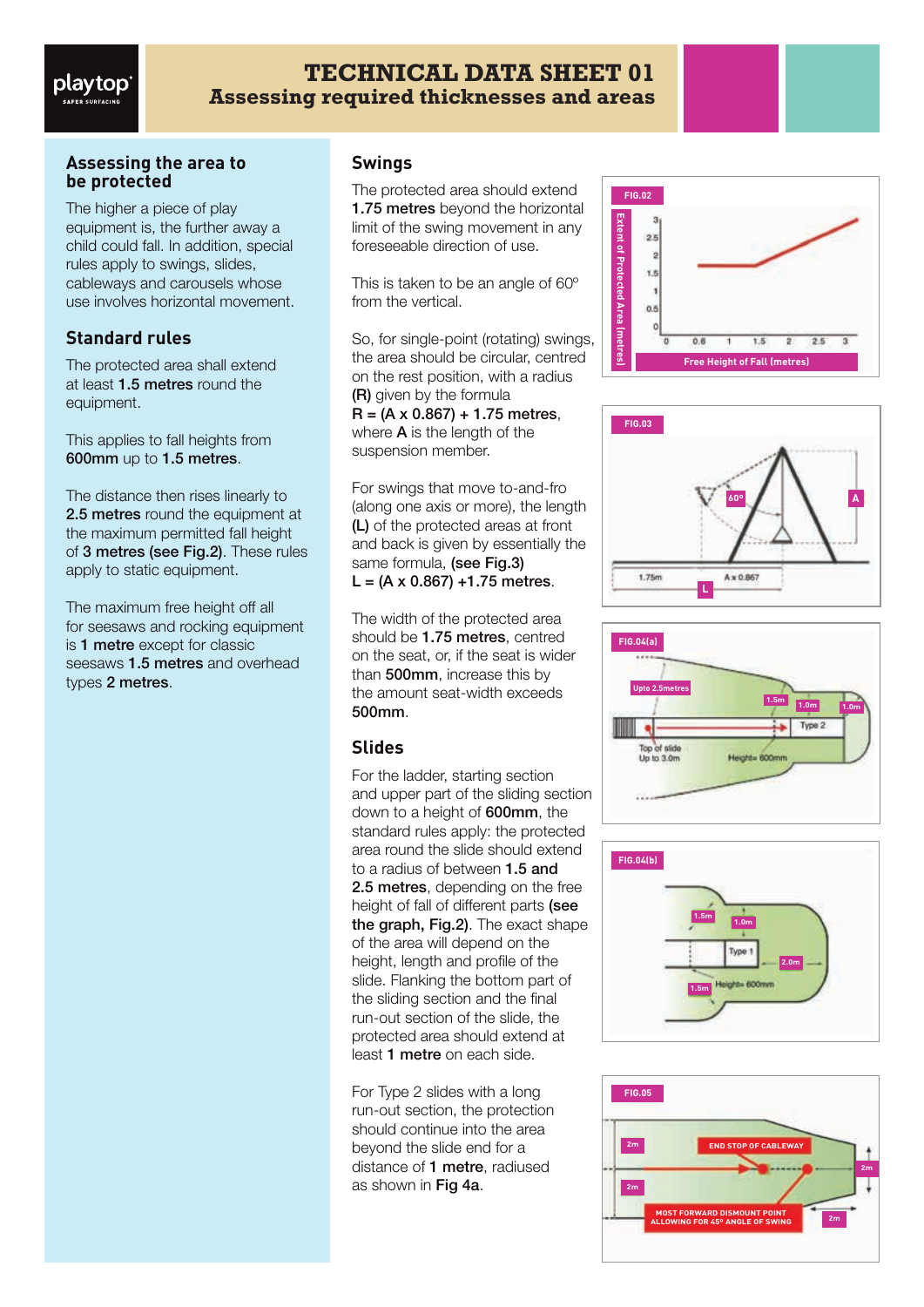# **TECHNICAL DATA SHEET 01 Assessing required thicknesses and areas**

#### **Assessing the area to be protected**

The higher a piece of play equipment is, the further away a child could fall. In addition, special rules apply to swings, slides, cableways and carousels whose use involves horizontal movement.

# **Standard rules**

The protected area shall extend at least 1.5 metres round the equipment.

This applies to fall heights from 600mm up to 1.5 metres.

The distance then rises linearly to 2.5 metres round the equipment at the maximum permitted fall height of 3 metres (see Fig.2). These rules apply to static equipment.

The maximum free height off all for seesaws and rocking equipment is 1 metre except for classic seesaws **1.5 metres** and overhead types 2 metres.

#### **Swings**

The protected area should extend **1.75 metres** beyond the horizontal limit of the swing movement in any foreseeable direction of use.

This is taken to be an angle of 60º from the vertical.

So, for single-point (rotating) swings, the area should be circular, centred on the rest position, with a radius (R) given by the formula  $R = (A \times 0.867) + 1.75$  metres, where **A** is the length of the suspension member.

For swings that move to-and-fro (along one axis or more), the length (L) of the protected areas at front and back is given by essentially the same formula, (see Fig.3)  $L = (A \times 0.867) + 1.75$  metres.

The width of the protected area should be 1.75 metres, centred on the seat, or, if the seat is wider than **500mm**, increase this by the amount seat-width exceeds 500mm.

# **Slides**

For the ladder, starting section and upper part of the sliding section down to a height of 600mm, the standard rules apply: the protected area round the slide should extend to a radius of between 1.5 and 2.5 metres, depending on the free height of fall of different parts (see the graph, Fig.2). The exact shape of the area will depend on the height, length and profile of the slide. Flanking the bottom part of the sliding section and the final run-out section of the slide, the protected area should extend at least 1 metre on each side.

For Type 2 slides with a long run-out section, the protection should continue into the area beyond the slide end for a distance of 1 metre, radiused as shown in Fig 4a.